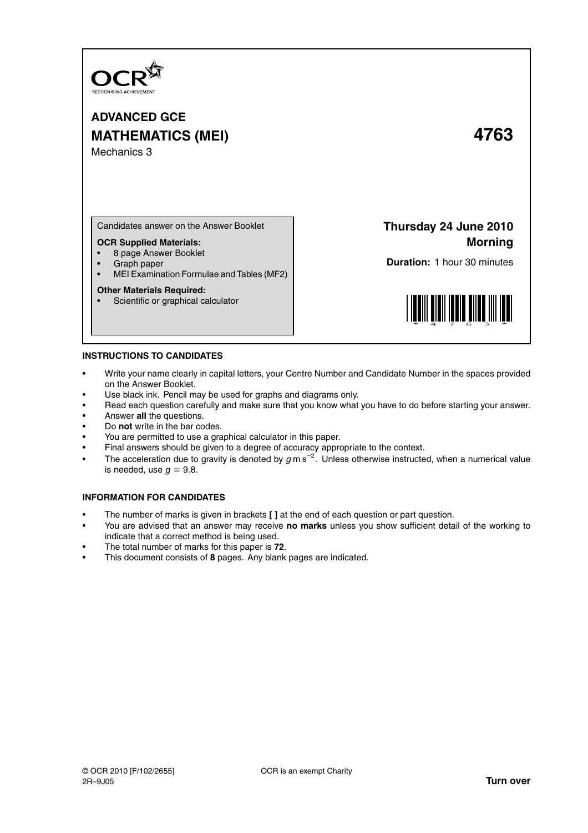

**ADVANCED GCE MATHEMATICS (MEI) 4763** Mechanics 3

Candidates answer on the Answer Booklet

### **OCR Supplied Materials:**

- 8 page Answer Booklet
- Graph paper<br>• MELExamina
- MEI Examination Formulae and Tables (MF2)

#### **Other Materials Required:**

• Scientific or graphical calculator

**Thursday 24 June 2010 Morning**

**Duration:** 1 hour 30 minutes



### **INSTRUCTIONS TO CANDIDATES**

- Write your name clearly in capital letters, your Centre Number and Candidate Number in the spaces provided on the Answer Booklet.
- Use black ink. Pencil may be used for graphs and diagrams only.
- Read each question carefully and make sure that you know what you have to do before starting your answer.
- Answer **all** the questions.
- Do **not** write in the bar codes.
- You are permitted to use a graphical calculator in this paper.
- Final answers should be given to a degree of accuracy appropriate to the context.
- The acceleration due to gravity is denoted by  $g$  m s<sup>-2</sup>. Unless otherwise instructed, when a numerical value is needed, use  $g = 9.8$ .

## **INFORMATION FOR CANDIDATES**

- The number of marks is given in brackets **[ ]** at the end of each question or part question.
- You are advised that an answer may receive **no marks** unless you show sufficient detail of the working to indicate that a correct method is being used.
- The total number of marks for this paper is **72**.
- This document consists of **8** pages. Any blank pages are indicated.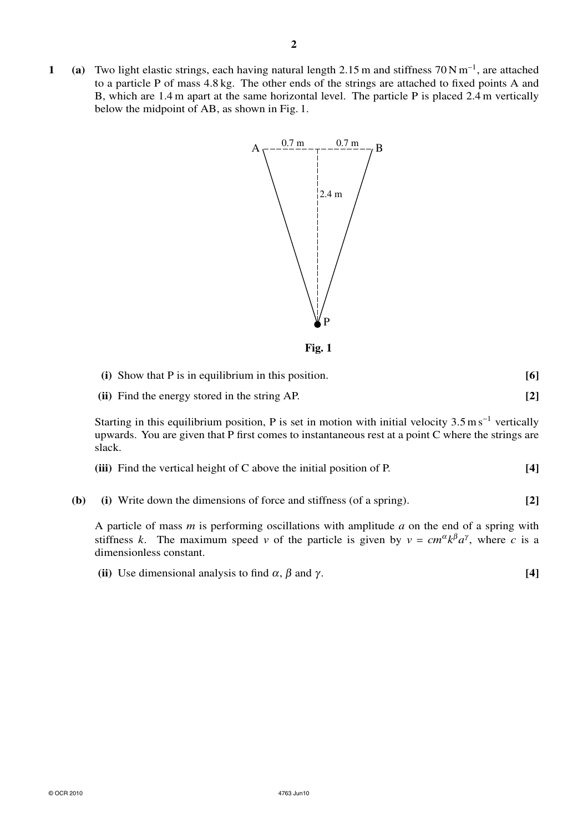**1 (a)** Two light elastic strings, each having natural length 2.15 m and stiffness 70 N m<sup>−</sup><sup>1</sup> , are attached to a particle P of mass 4.8 kg. The other ends of the strings are attached to fixed points A and B, which are 1.4 m apart at the same horizontal level. The particle P is placed 2.4 m vertically below the midpoint of AB, as shown in Fig. 1.



**Fig. 1**

| (i) Show that P is in equilibrium in this position. | [6] |
|-----------------------------------------------------|-----|
|                                                     |     |

**(ii)** Find the energy stored in the string AP. **[2]**

Starting in this equilibrium position, P is set in motion with initial velocity  $3.5 \text{ m s}^{-1}$  vertically upwards. You are given that P first comes to instantaneous rest at a point C where the strings are slack.

| (iii) Find the vertical height of $C$ above the initial position of $P$ . |  |
|---------------------------------------------------------------------------|--|
|                                                                           |  |

**(b) (i)** Write down the dimensions of force and stiffness (of a spring). **[2]**

A particle of mass *m* is performing oscillations with amplitude *a* on the end of a spring with stiffness *k*. The maximum speed *v* of the particle is given by  $v = cm^\alpha k^\beta a^\gamma$ , where *c* is a dimensionless constant.

(ii) Use dimensional analysis to find  $\alpha$ ,  $\beta$  and  $\gamma$ . **[4]**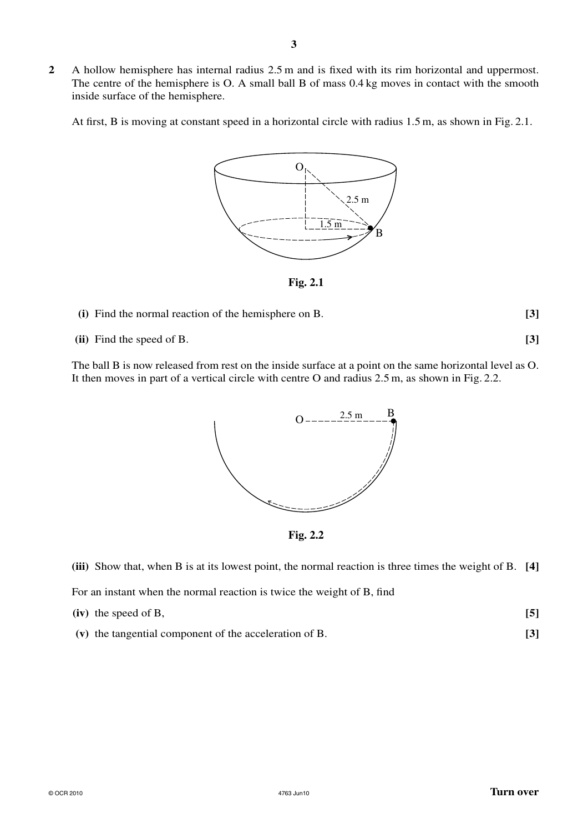**2** A hollow hemisphere has internal radius 2.5 m and is fixed with its rim horizontal and uppermost. The centre of the hemisphere is O. A small ball B of mass 0.4 kg moves in contact with the smooth inside surface of the hemisphere.

At first, B is moving at constant speed in a horizontal circle with radius 1.5 m, as shown in Fig. 2.1.



**Fig. 2.1**

- **(i)** Find the normal reaction of the hemisphere on B. **[3]**
- **(ii)** Find the speed of B. **[3]**

The ball B is now released from rest on the inside surface at a point on the same horizontal level as O. It then moves in part of a vertical circle with centre O and radius 2.5 m, as shown in Fig. 2.2.



**Fig. 2.2**

**(iii)** Show that, when B is at its lowest point, the normal reaction is three times the weight of B. **[4]**

For an instant when the normal reaction is twice the weight of B, find

| (iv) the speed of B, |  |  |
|----------------------|--|--|
|                      |  |  |

**(v)** the tangential component of the acceleration of B. **[3]**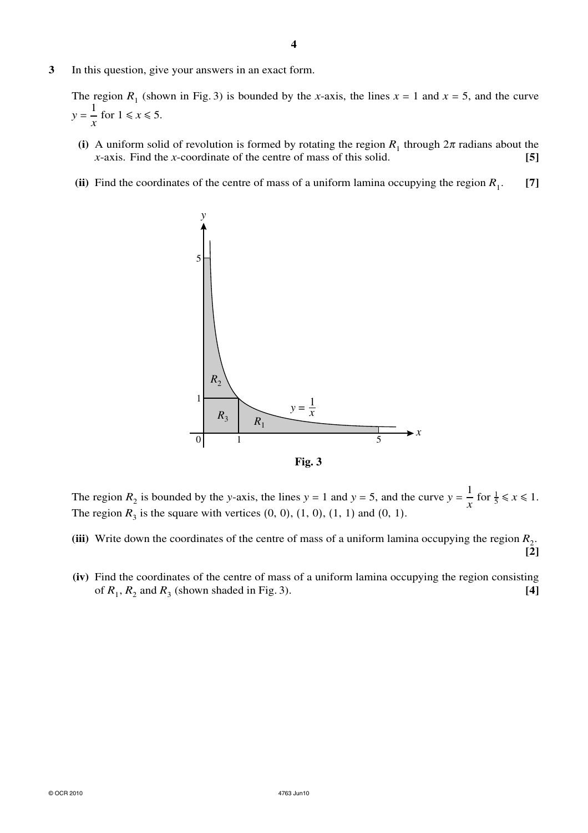**3** In this question, give your answers in an exact form.

The region  $R_1$  (shown in Fig. 3) is bounded by the *x*-axis, the lines  $x = 1$  and  $x = 5$ , and the curve  $y = \frac{1}{x}$  $\frac{1}{x}$  for  $1 \le x \le 5$ .

- (i) A uniform solid of revolution is formed by rotating the region  $R_1$  through  $2\pi$  radians about the *x*-axis. Find the *x*-coordinate of the centre of mass of this solid. **[5]**
- (ii) Find the coordinates of the centre of mass of a uniform lamina occupying the region  $R_1$ . . **[7]**



The region  $R_2$  is bounded by the *y*-axis, the lines  $y = 1$  and  $y = 5$ , and the curve  $y = \frac{1}{x}$  $\frac{1}{x}$  for  $\frac{1}{5} \leq x \leq 1$ . The region  $R_3$  is the square with vertices  $(0, 0)$ ,  $(1, 0)$ ,  $(1, 1)$  and  $(0, 1)$ .

- (iii) Write down the coordinates of the centre of mass of a uniform lamina occupying the region  $R_2$ . **[2]**
- **(iv)** Find the coordinates of the centre of mass of a uniform lamina occupying the region consisting of  $R_1$ ,  $R_2$  and  $R_3$  (shown shaded in Fig. 3). **[4]**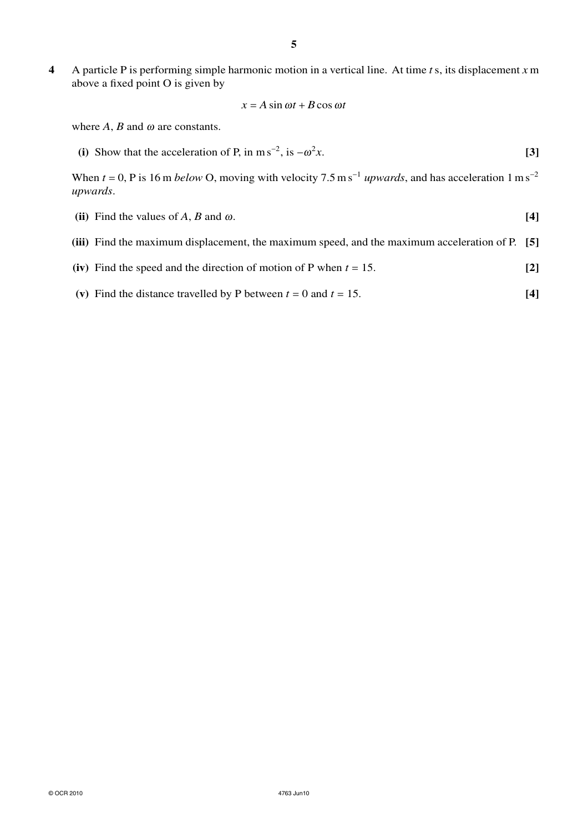- **5**
- **4** A particle P is performing simple harmonic motion in a vertical line. At time *t*s, its displacement *x* m above a fixed point O is given by

$$
x = A\sin\omega t + B\cos\omega t
$$

where  $A$ ,  $B$  and  $\omega$  are constants.

(i) Show that the acceleration of P, in m s<sup>-2</sup>, is  $-\omega^2$ *x*. **[3]**

When  $t = 0$ , P is 16 m *below* O, moving with velocity 7.5 m s<sup>-1</sup> *upwards*, and has acceleration 1 m s<sup>-2</sup> *upwards*.

- **(ii)** Find the values of *A*, *B* and  $\omega$ . **[4]**
- **(iii)** Find the maximum displacement, the maximum speed, and the maximum acceleration of P. **[5]**
- **(iv)** Find the speed and the direction of motion of P when  $t = 15$ . [2]
- (v) Find the distance travelled by P between  $t = 0$  and  $t = 15$ . [4]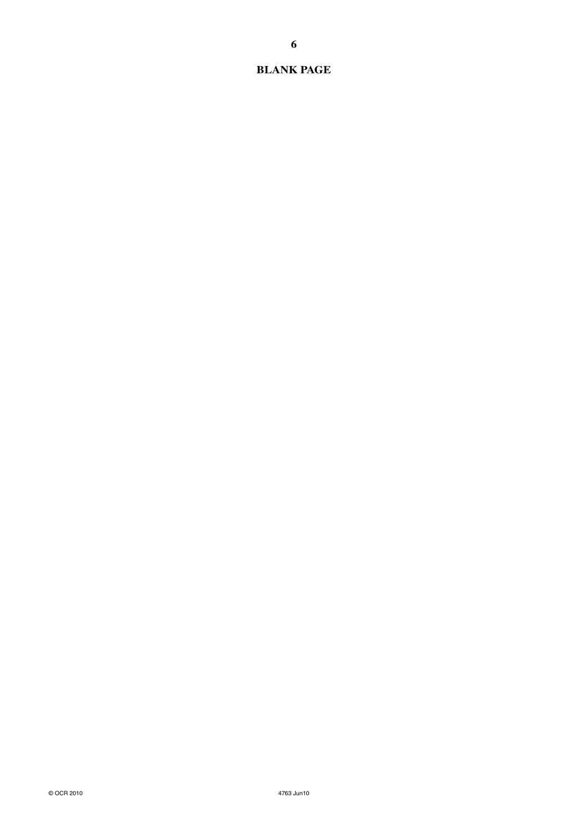# **BLANK PAGE**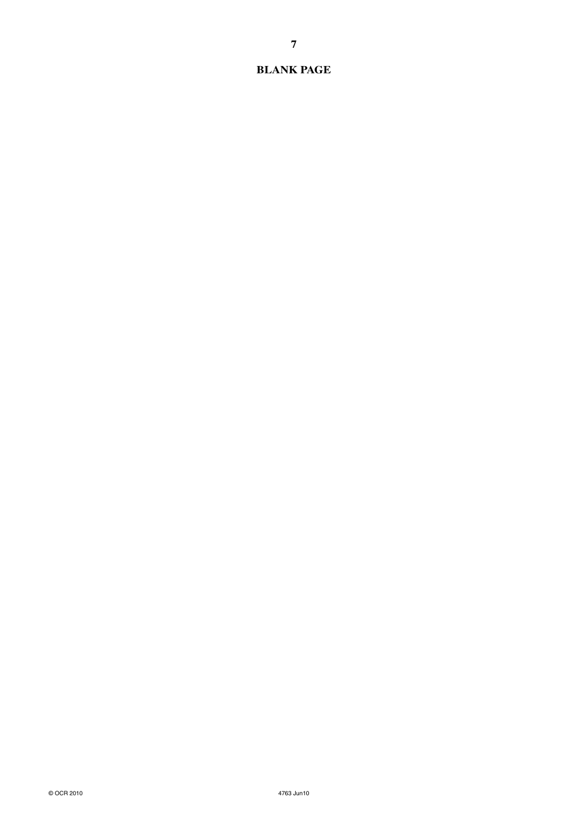# **BLANK PAGE**